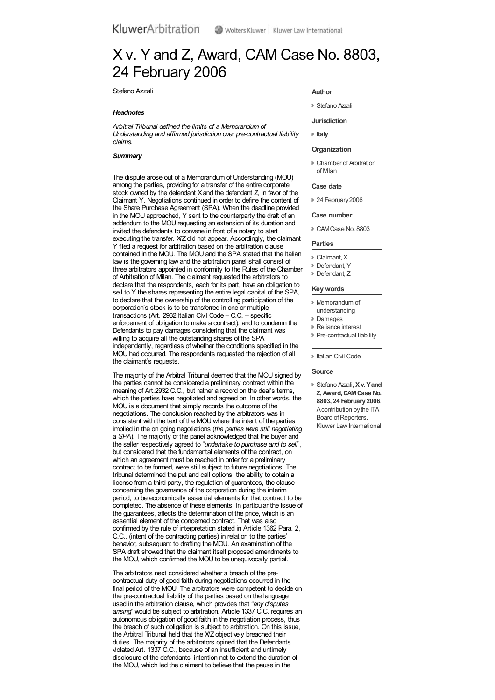# X v. Y and Z, Award, CAM Case No. 8803, 24 February 2006

Stefano Azzali

## *Headnotes*

*Arbitral Tribunal defined the limits of a Memorandum of Understanding and affirmed jurisdiction over pre-contractual liability claims.*

# *Summary*

The dispute arose out of a Memorandum of Understanding (MOU) among the parties, providing for a transfer of the entire corporate stock owned by the defendant Xand the defendant Z, in favor of the Claimant Y. Negotiations continued in order to define the content of the Share Purchase Agreement (SPA). When the deadline provided in the MOU approached, Y sent to the counterparty the draft of an addendum to the MOU requesting an extension of its duration and invited the defendants to convene in front of a notary to start executing the transfer. X/Z did not appear. Accordingly, the claimant Y filed a request for arbitration based on the arbitration clause contained in the MOU. The MOU and the SPA stated that the Italian law is the governing law and the arbitration panel shall consist of three arbitrators appointed in conformity to the Rules of the Chamber of Arbitration of Milan. The claimant requested the arbitrators to declare that the respondents, each for its part, have an obligation to sell to Y the shares representing the entire legal capital of the SPA, to declare that the ownership of the controlling participation of the corporation's stock is to be transferred in one or multiple transactions (Art. 2932 Italian Civil Code – C.C. – specific enforcement of obligation to make a contract), and to condemn the Defendants to pay damages considering that the claimant was willing to acquire all the outstanding shares of the SPA independently, regardless of whether the conditions specified in the MOU had occurred. The respondents requested the rejection of all the claimant's requests.

The majority of the Arbitral Tribunal deemed that the MOU signed by the parties cannot be considered a preliminary contract within the meaning of Art.2932 C.C., but rather a record on the deal's terms, which the parties have negotiated and agreed on. In other words, the MOU is a document that simply records the outcome of the negotiations. The conclusion reached by the arbitrators was in consistent with the text of the MOU where the intent of the parties implied in the on going negotiations (*the parties were still negotiating a SPA*). The majority of the panel acknowledged that the buyer and the seller respectively agreed to "*undertake to purchase and to sell*", but considered that the fundamental elements of the contract, on which an agreement must be reached in order for a preliminary contract to be formed, were still subject to future negotiations. The tribunal determined the put and call options, the ability to obtain a license from a third party, the regulation of guarantees, the clause concerning the governance of the corporation during the interim period, to be economically essential elements for that contract to be completed. The absence of these elements, in particular the issue of the guarantees, affects the determination of the price, which is an essential element of the concerned contract. That was also confirmed by the rule of interpretation stated in Article 1362 Para. 2, C.C., (intent of the contracting parties) in relation to the parties behavior, subsequent to drafting the MOU. An examination of the SPA draft showed that the claimant itself proposed amendments to the MOU, which confirmed the MOU to be unequivocally partial.

The arbitrators next considered whether a breach of the precontractual duty of good faith during negotiations occurred in the final period of the MOU. The arbitrators were competent to decide on the pre-contractual liability of the parties based on the language used in the arbitration clause, which provides that "*any disputes arising*" would be subject to arbitration. Article 1337 C.C. requires an autonomous obligation of good faith in the negotiation process, thus the breach of such obligation is subject to arbitration. On this issue, the Arbitral Tribunal held that the X/Z objectively breached their duties. The majority of the arbitrators opined that the Defendants violated Art. 1337 C.C., because of an insufficient and untimely disclosure of the defendants' intention not to extend the duration of the MOU, which led the claimant to believe that the pause in the

#### **Author**

Stefano Azzali

#### **Jurisdiction**

**[Italy](organizations.aspx?jurisdiction=Italy)**

# **Organization**

Chamber of Arbitration of Milan

### **Case date**

<sup>2</sup> 24 February 2006

## **Case number**

CAMCase No. 8803

#### **Parties**

- Claimant, X
- **Defendant**, Y
- Defendant, Z

## **Key words**

- Memorandum of understanding
- Damages
- Reliance interest
- **Pre-contractual liability**

**Italian Civil Code** 

### **Source**

Stefano Azzali, **Xv. Yand Z,Award,CAMCase No. 8803, 24 February2006**, Acontribution bythe ITA Board of Reporters, Kluwer Law International